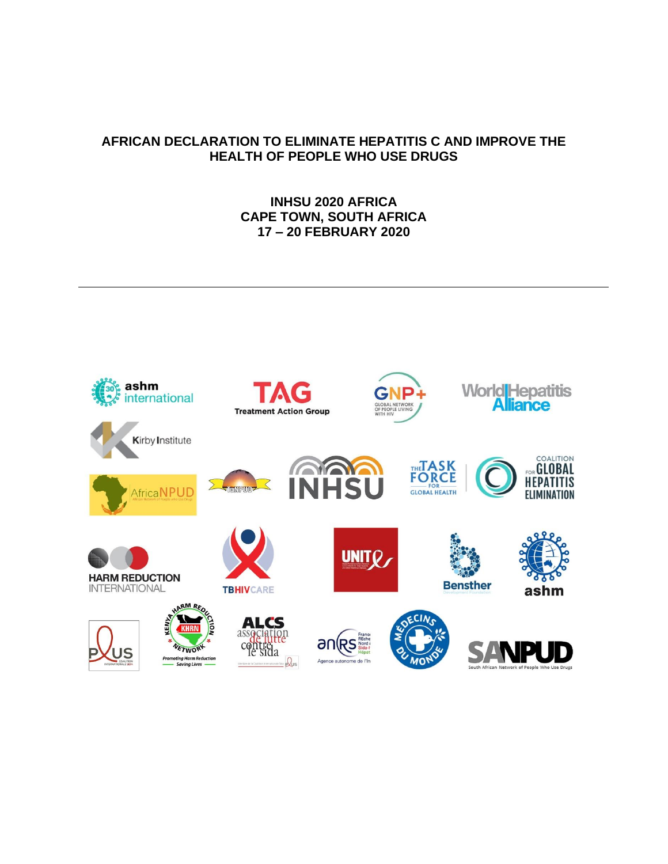## **AFRICAN DECLARATION TO ELIMINATE HEPATITIS C AND IMPROVE THE HEALTH OF PEOPLE WHO USE DRUGS**

## **INHSU 2020 AFRICA CAPE TOWN, SOUTH AFRICA 17 – 20 FEBRUARY 2020**

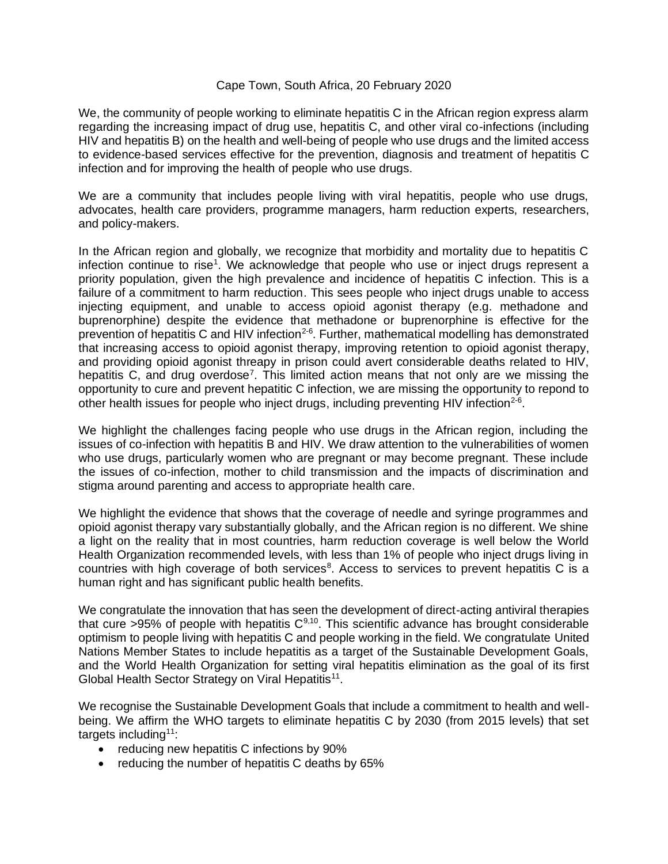## Cape Town, South Africa, 20 February 2020

We, the community of people working to eliminate hepatitis C in the African region express alarm regarding the increasing impact of drug use, hepatitis C, and other viral co-infections (including HIV and hepatitis B) on the health and well-being of people who use drugs and the limited access to evidence-based services effective for the prevention, diagnosis and treatment of hepatitis C infection and for improving the health of people who use drugs.

We are a community that includes people living with viral hepatitis, people who use drugs, advocates, health care providers, programme managers, harm reduction experts, researchers, and policy-makers.

In the African region and globally, we recognize that morbidity and mortality due to hepatitis C infection continue to rise<sup>1</sup>. We acknowledge that people who use or inject drugs represent a priority population, given the high prevalence and incidence of hepatitis C infection. This is a failure of a commitment to harm reduction. This sees people who inject drugs unable to access injecting equipment, and unable to access opioid agonist therapy (e.g. methadone and buprenorphine) despite the evidence that methadone or buprenorphine is effective for the prevention of hepatitis C and HIV infection<sup>2-6</sup>. Further, mathematical modelling has demonstrated that increasing access to opioid agonist therapy, improving retention to opioid agonist therapy, and providing opioid agonist threapy in prison could avert considerable deaths related to HIV, hepatitis C, and drug overdose<sup>7</sup>. This limited action means that not only are we missing the opportunity to cure and prevent hepatitic C infection, we are missing the opportunity to repond to other health issues for people who inject drugs, including preventing HIV infection<sup>2-6</sup>.

We highlight the challenges facing people who use drugs in the African region, including the issues of co-infection with hepatitis B and HIV. We draw attention to the vulnerabilities of women who use drugs, particularly women who are pregnant or may become pregnant. These include the issues of co-infection, mother to child transmission and the impacts of discrimination and stigma around parenting and access to appropriate health care.

We highlight the evidence that shows that the coverage of needle and syringe programmes and opioid agonist therapy vary substantially globally, and the African region is no different. We shine a light on the reality that in most countries, harm reduction coverage is well below the World Health Organization recommended levels, with less than 1% of people who inject drugs living in countries with high coverage of both services<sup>8</sup>. Access to services to prevent hepatitis C is a human right and has significant public health benefits.

We congratulate the innovation that has seen the development of direct-acting antiviral therapies that cure >95% of people with hepatitis  $C^{9,10}$ . This scientific advance has brought considerable optimism to people living with hepatitis C and people working in the field. We congratulate United Nations Member States to include hepatitis as a target of the Sustainable Development Goals, and the World Health Organization for setting viral hepatitis elimination as the goal of its first Global Health Sector Strategy on Viral Hepatitis<sup>11</sup>.

We recognise the Sustainable Development Goals that include a commitment to health and wellbeing. We affirm the WHO targets to eliminate hepatitis C by 2030 (from 2015 levels) that set targets including<sup>11</sup>:

- reducing new hepatitis C infections by 90%
- reducing the number of hepatitis C deaths by 65%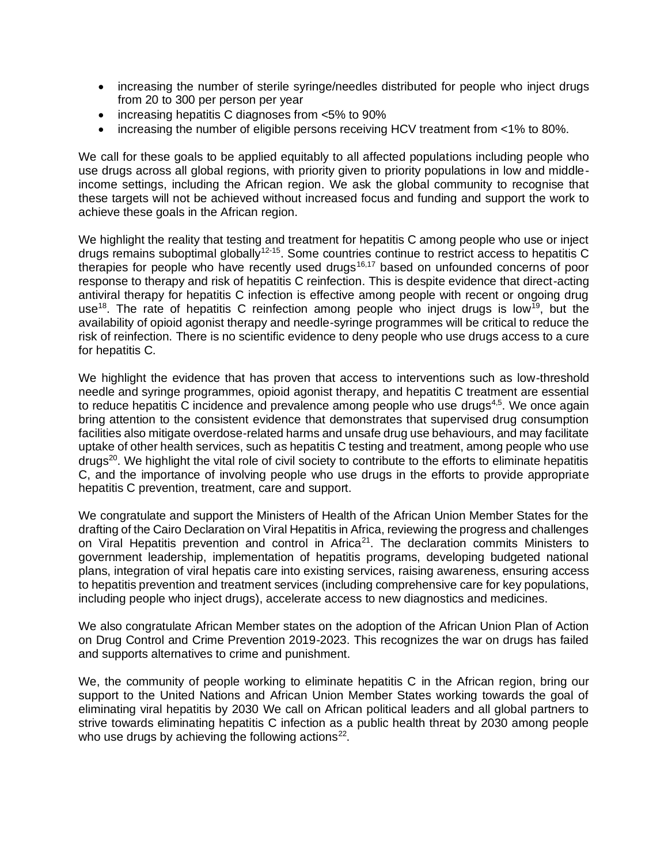- increasing the number of sterile syringe/needles distributed for people who inject drugs from 20 to 300 per person per year
- increasing hepatitis C diagnoses from <5% to 90%
- increasing the number of eligible persons receiving HCV treatment from <1% to 80%.

We call for these goals to be applied equitably to all affected populations including people who use drugs across all global regions, with priority given to priority populations in low and middleincome settings, including the African region. We ask the global community to recognise that these targets will not be achieved without increased focus and funding and support the work to achieve these goals in the African region.

We highlight the reality that testing and treatment for hepatitis C among people who use or inject drugs remains suboptimal globally<sup>12-15</sup>. Some countries continue to restrict access to hepatitis C therapies for people who have recently used drugs<sup>16,17</sup> based on unfounded concerns of poor response to therapy and risk of hepatitis C reinfection. This is despite evidence that direct-acting antiviral therapy for hepatitis C infection is effective among people with recent or ongoing drug use<sup>18</sup>. The rate of hepatitis C reinfection among people who inject drugs is low<sup>19</sup>, but the availability of opioid agonist therapy and needle-syringe programmes will be critical to reduce the risk of reinfection. There is no scientific evidence to deny people who use drugs access to a cure for hepatitis C.

We highlight the evidence that has proven that access to interventions such as low-threshold needle and syringe programmes, opioid agonist therapy, and hepatitis C treatment are essential to reduce hepatitis C incidence and prevalence among people who use drugs $4,5$ . We once again bring attention to the consistent evidence that demonstrates that supervised drug consumption facilities also mitigate overdose-related harms and unsafe drug use behaviours, and may facilitate uptake of other health services, such as hepatitis C testing and treatment, among people who use drugs<sup>20</sup>. We highlight the vital role of civil society to contribute to the efforts to eliminate hepatitis C, and the importance of involving people who use drugs in the efforts to provide appropriate hepatitis C prevention, treatment, care and support.

We congratulate and support the Ministers of Health of the African Union Member States for the drafting of the Cairo Declaration on Viral Hepatitis in Africa, reviewing the progress and challenges on Viral Hepatitis prevention and control in Africa<sup>21</sup>. The declaration commits Ministers to government leadership, implementation of hepatitis programs, developing budgeted national plans, integration of viral hepatis care into existing services, raising awareness, ensuring access to hepatitis prevention and treatment services (including comprehensive care for key populations, including people who inject drugs), accelerate access to new diagnostics and medicines.

We also congratulate African Member states on the adoption of the African Union Plan of Action on Drug Control and Crime Prevention 2019-2023. This recognizes the war on drugs has failed and supports alternatives to crime and punishment.

We, the community of people working to eliminate hepatitis C in the African region, bring our support to the United Nations and African Union Member States working towards the goal of eliminating viral hepatitis by 2030 We call on African political leaders and all global partners to strive towards eliminating hepatitis C infection as a public health threat by 2030 among people who use drugs by achieving the following actions<sup>22</sup>.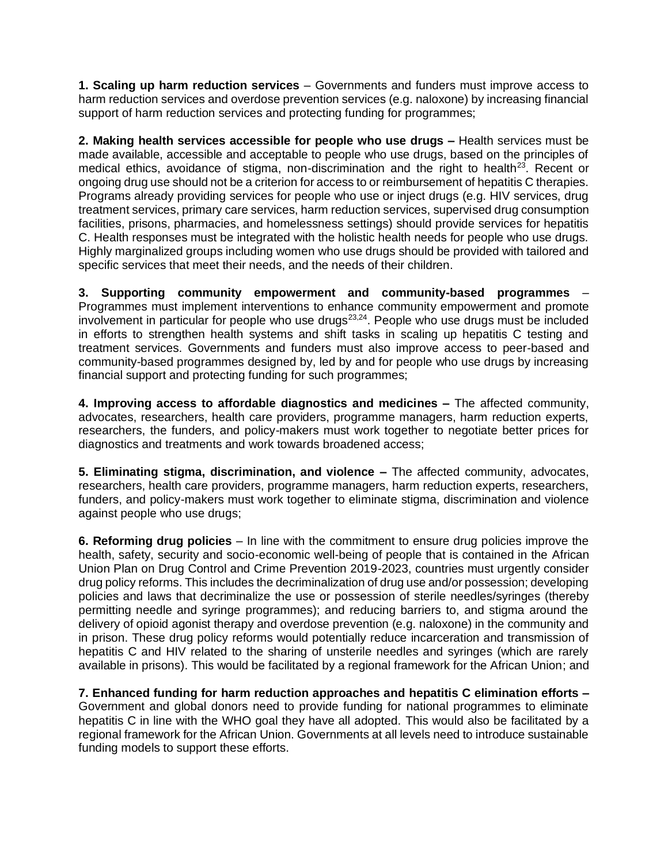**1. Scaling up harm reduction services** – Governments and funders must improve access to harm reduction services and overdose prevention services (e.g. naloxone) by increasing financial support of harm reduction services and protecting funding for programmes;

**2. Making health services accessible for people who use drugs –** Health services must be made available, accessible and acceptable to people who use drugs, based on the principles of medical ethics, avoidance of stigma, non-discrimination and the right to health $^{23}$ . Recent or ongoing drug use should not be a criterion for access to or reimbursement of hepatitis C therapies. Programs already providing services for people who use or inject drugs (e.g. HIV services, drug treatment services, primary care services, harm reduction services, supervised drug consumption facilities, prisons, pharmacies, and homelessness settings) should provide services for hepatitis C. Health responses must be integrated with the holistic health needs for people who use drugs. Highly marginalized groups including women who use drugs should be provided with tailored and specific services that meet their needs, and the needs of their children.

**3. Supporting community empowerment and community-based programmes** – Programmes must implement interventions to enhance community empowerment and promote involvement in particular for people who use drugs $^{23,24}$ . People who use drugs must be included in efforts to strengthen health systems and shift tasks in scaling up hepatitis C testing and treatment services. Governments and funders must also improve access to peer-based and community-based programmes designed by, led by and for people who use drugs by increasing financial support and protecting funding for such programmes;

**4. Improving access to affordable diagnostics and medicines –** The affected community, advocates, researchers, health care providers, programme managers, harm reduction experts, researchers, the funders, and policy-makers must work together to negotiate better prices for diagnostics and treatments and work towards broadened access;

**5. Eliminating stigma, discrimination, and violence –** The affected community, advocates, researchers, health care providers, programme managers, harm reduction experts, researchers, funders, and policy-makers must work together to eliminate stigma, discrimination and violence against people who use drugs;

**6. Reforming drug policies** – In line with the commitment to ensure drug policies improve the health, safety, security and socio-economic well-being of people that is contained in the African Union Plan on Drug Control and Crime Prevention 2019-2023, countries must urgently consider drug policy reforms. This includes the decriminalization of drug use and/or possession; developing policies and laws that decriminalize the use or possession of sterile needles/syringes (thereby permitting needle and syringe programmes); and reducing barriers to, and stigma around the delivery of opioid agonist therapy and overdose prevention (e.g. naloxone) in the community and in prison. These drug policy reforms would potentially reduce incarceration and transmission of hepatitis C and HIV related to the sharing of unsterile needles and syringes (which are rarely available in prisons). This would be facilitated by a regional framework for the African Union; and

**7. Enhanced funding for harm reduction approaches and hepatitis C elimination efforts –** Government and global donors need to provide funding for national programmes to eliminate hepatitis C in line with the WHO goal they have all adopted. This would also be facilitated by a regional framework for the African Union. Governments at all levels need to introduce sustainable funding models to support these efforts.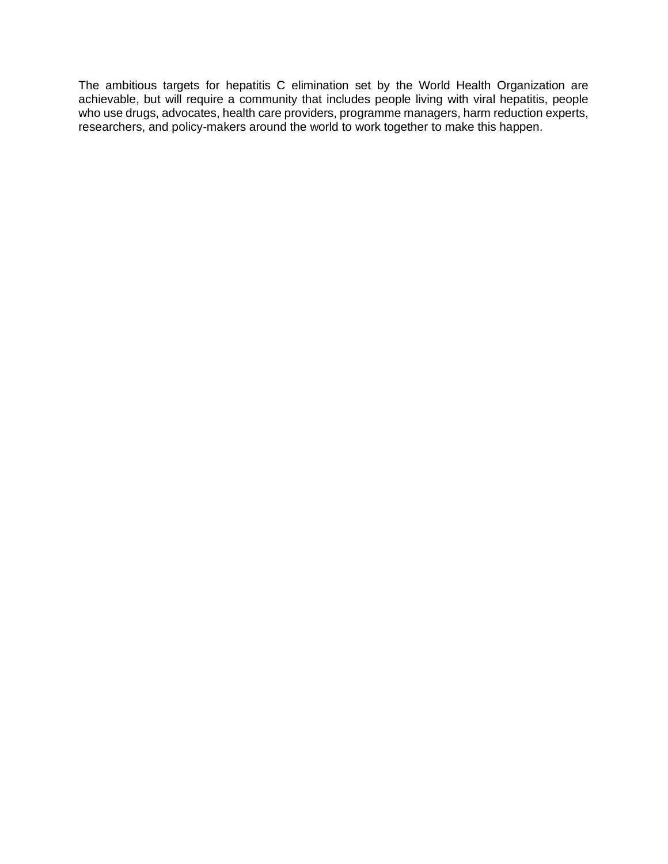The ambitious targets for hepatitis C elimination set by the World Health Organization are achievable, but will require a community that includes people living with viral hepatitis, people who use drugs, advocates, health care providers, programme managers, harm reduction experts, researchers, and policy-makers around the world to work together to make this happen.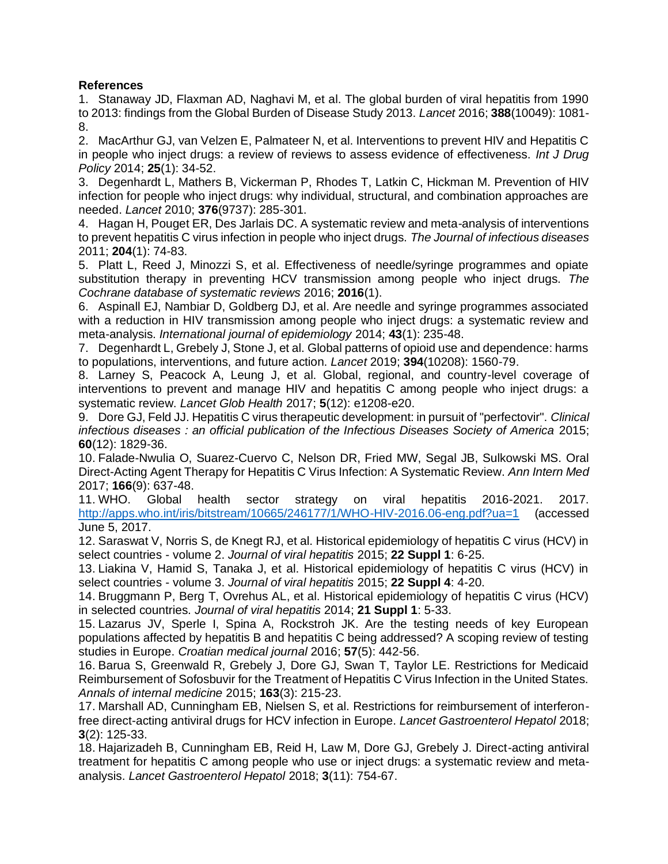## **References**

1. Stanaway JD, Flaxman AD, Naghavi M, et al. The global burden of viral hepatitis from 1990 to 2013: findings from the Global Burden of Disease Study 2013. *Lancet* 2016; **388**(10049): 1081- 8.

2. MacArthur GJ, van Velzen E, Palmateer N, et al. Interventions to prevent HIV and Hepatitis C in people who inject drugs: a review of reviews to assess evidence of effectiveness. *Int J Drug Policy* 2014; **25**(1): 34-52.

3. Degenhardt L, Mathers B, Vickerman P, Rhodes T, Latkin C, Hickman M. Prevention of HIV infection for people who inject drugs: why individual, structural, and combination approaches are needed. *Lancet* 2010; **376**(9737): 285-301.

4. Hagan H, Pouget ER, Des Jarlais DC. A systematic review and meta-analysis of interventions to prevent hepatitis C virus infection in people who inject drugs. *The Journal of infectious diseases* 2011; **204**(1): 74-83.

5. Platt L, Reed J, Minozzi S, et al. Effectiveness of needle/syringe programmes and opiate substitution therapy in preventing HCV transmission among people who inject drugs. *The Cochrane database of systematic reviews* 2016; **2016**(1).

6. Aspinall EJ, Nambiar D, Goldberg DJ, et al. Are needle and syringe programmes associated with a reduction in HIV transmission among people who inject drugs: a systematic review and meta-analysis. *International journal of epidemiology* 2014; **43**(1): 235-48.

7. Degenhardt L, Grebely J, Stone J, et al. Global patterns of opioid use and dependence: harms to populations, interventions, and future action. *Lancet* 2019; **394**(10208): 1560-79.

8. Larney S, Peacock A, Leung J, et al. Global, regional, and country-level coverage of interventions to prevent and manage HIV and hepatitis C among people who inject drugs: a systematic review. *Lancet Glob Health* 2017; **5**(12): e1208-e20.

9. Dore GJ, Feld JJ. Hepatitis C virus therapeutic development: in pursuit of "perfectovir". *Clinical infectious diseases : an official publication of the Infectious Diseases Society of America* 2015; **60**(12): 1829-36.

10. Falade-Nwulia O, Suarez-Cuervo C, Nelson DR, Fried MW, Segal JB, Sulkowski MS. Oral Direct-Acting Agent Therapy for Hepatitis C Virus Infection: A Systematic Review. *Ann Intern Med* 2017; **166**(9): 637-48.

11. WHO. Global health sector strategy on viral hepatitis 2016-2021. 2017. [http://apps.who.int/iris/bitstream/10665/246177/1/WHO-HIV-2016.06-eng.pdf?ua=1](about:blank) (accessed June 5, 2017.

12. Saraswat V, Norris S, de Knegt RJ, et al. Historical epidemiology of hepatitis C virus (HCV) in select countries - volume 2. *Journal of viral hepatitis* 2015; **22 Suppl 1**: 6-25.

13. Liakina V, Hamid S, Tanaka J, et al. Historical epidemiology of hepatitis C virus (HCV) in select countries - volume 3. *Journal of viral hepatitis* 2015; **22 Suppl 4**: 4-20.

14. Bruggmann P, Berg T, Ovrehus AL, et al. Historical epidemiology of hepatitis C virus (HCV) in selected countries. *Journal of viral hepatitis* 2014; **21 Suppl 1**: 5-33.

15. Lazarus JV, Sperle I, Spina A, Rockstroh JK. Are the testing needs of key European populations affected by hepatitis B and hepatitis C being addressed? A scoping review of testing studies in Europe. *Croatian medical journal* 2016; **57**(5): 442-56.

16. Barua S, Greenwald R, Grebely J, Dore GJ, Swan T, Taylor LE. Restrictions for Medicaid Reimbursement of Sofosbuvir for the Treatment of Hepatitis C Virus Infection in the United States. *Annals of internal medicine* 2015; **163**(3): 215-23.

17. Marshall AD, Cunningham EB, Nielsen S, et al. Restrictions for reimbursement of interferonfree direct-acting antiviral drugs for HCV infection in Europe. *Lancet Gastroenterol Hepatol* 2018; **3**(2): 125-33.

18. Hajarizadeh B, Cunningham EB, Reid H, Law M, Dore GJ, Grebely J. Direct-acting antiviral treatment for hepatitis C among people who use or inject drugs: a systematic review and metaanalysis. *Lancet Gastroenterol Hepatol* 2018; **3**(11): 754-67.